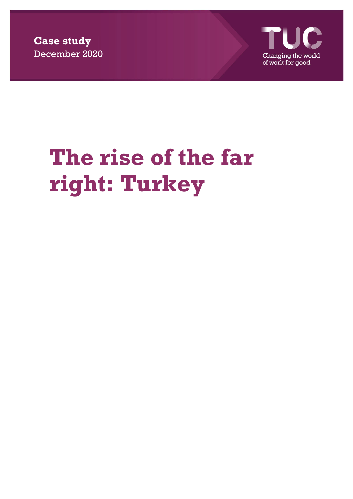**Case study**  December 2020



## **The rise of the far right: Turkey**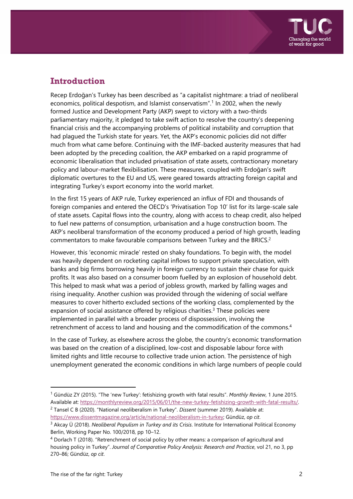

## **Introduction**

Recep Erdoğan's Turkey has been described as "a capitalist nightmare: a triad of neoliberal economics, political despotism, and Islamist conservatism".<sup>1</sup> In 2002, when the newly formed Justice and Development Party (AKP) swept to victory with a two-thirds parliamentary majority, it pledged to take swift action to resolve the country's deepening financial crisis and the accompanying problems of political instability and corruption that had plagued the Turkish state for years. Yet, the AKP's economic policies did not differ much from what came before. Continuing with the IMF-backed austerity measures that had been adopted by the preceding coalition, the AKP embarked on a rapid programme of economic liberalisation that included privatisation of state assets, contractionary monetary policy and labour-market flexibilisation. These measures, coupled with Erdoğan's swift diplomatic overtures to the EU and US, were geared towards attracting foreign capital and integrating Turkey's export economy into the world market.

In the first 15 years of AKP rule, Turkey experienced an influx of FDI and thousands of foreign companies and entered the OECD's 'Privatisation Top 10' list for its large-scale sale of state assets. Capital flows into the country, along with access to cheap credit, also helped to fuel new patterns of consumption, urbanisation and a huge construction boom. The AKP's neoliberal transformation of the economy produced a period of high growth, leading commentators to make favourable comparisons between Turkey and the BRICS.2

However, this 'economic miracle' rested on shaky foundations. To begin with, the model was heavily dependent on rocketing capital inflows to support private speculation, with banks and big firms borrowing heavily in foreign currency to sustain their chase for quick profits. It was also based on a consumer boom fuelled by an explosion of household debt. This helped to mask what was a period of jobless growth, marked by falling wages and rising inequality. Another cushion was provided through the widening of social welfare measures to cover hitherto excluded sections of the working class, complemented by the expansion of social assistance offered by religious charities.<sup>3</sup> These policies were implemented in parallel with a broader process of dispossession, involving the retrenchment of access to land and housing and the commodification of the commons.4

In the case of Turkey, as elsewhere across the globe, the country's economic transformation was based on the creation of a disciplined, low-cost and disposable labour force with limited rights and little recourse to collective trade union action. The persistence of high unemployment generated the economic conditions in which large numbers of people could

<sup>1</sup> Gündüz ZY (2015). "The 'new Turkey': fetishizing growth with fatal results". *Monthly Review*, 1 June 2015. Available at: https://monthlyreview.org/2015/06/01/the-new-turkey-fetishizing-growth-with-fatal-results/.

<sup>2</sup> Tansel C B (2020). "National neoliberalism in Turkey". *Dissent* (summer 2019). Available at: https://www.dissentmagazine.org/article/national-neoliberalism-in-turkey; Gündüz, *op cit*.

<sup>3</sup> Akcay Ü (2018). *Neoliberal Populism in Turkey and its Crisis*. Institute for International Political Economy Berlin, Working Paper No. 100/2018, pp 10–12.

<sup>4</sup> Dorlach T (2018). "Retrenchment of social policy by other means: a comparison of agricultural and housing policy in Turkey". *Journal of Comparative Policy Analysis: Research and Practice*, vol 21, no 3, pp 270–86; Gündüz, *op cit*.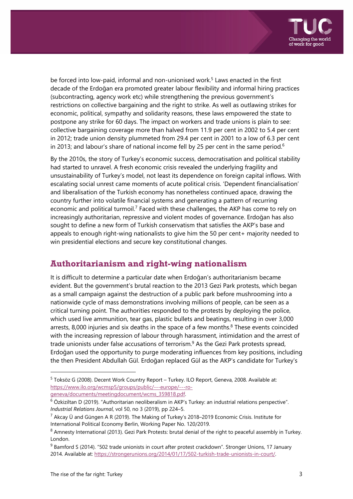

be forced into low-paid, informal and non-unionised work.<sup>5</sup> Laws enacted in the first decade of the Erdoğan era promoted greater labour flexibility and informal hiring practices (subcontracting, agency work etc) while strengthening the previous government's restrictions on collective bargaining and the right to strike. As well as outlawing strikes for economic, political, sympathy and solidarity reasons, these laws empowered the state to postpone any strike for 60 days. The impact on workers and trade unions is plain to see: collective bargaining coverage more than halved from 11.9 per cent in 2002 to 5.4 per cent in 2012; trade union density plummeted from 29.4 per cent in 2001 to a low of 6.3 per cent in 2013; and labour's share of national income fell by 25 per cent in the same period.<sup>6</sup>

By the 2010s, the story of Turkey's economic success, democratisation and political stability had started to unravel. A fresh economic crisis revealed the underlying fragility and unsustainability of Turkey's model, not least its dependence on foreign capital inflows. With escalating social unrest came moments of acute political crisis. 'Dependent financialisation' and liberalisation of the Turkish economy has nonetheless continued apace, drawing the country further into volatile financial systems and generating a pattern of recurring economic and political turmoil.<sup>7</sup> Faced with these challenges, the AKP has come to rely on increasingly authoritarian, repressive and violent modes of governance. Erdoğan has also sought to define a new form of Turkish conservatism that satisfies the AKP's base and appeals to enough right-wing nationalists to give him the 50 per cent+ majority needed to win presidential elections and secure key constitutional changes.

## **Authoritarianism and right-wing nationalism**

It is difficult to determine a particular date when Erdoğan's authoritarianism became evident. But the government's brutal reaction to the 2013 Gezi Park protests, which began as a small campaign against the destruction of a public park before mushrooming into a nationwide cycle of mass demonstrations involving millions of people, can be seen as a critical turning point. The authorities responded to the protests by deploying the police, which used live ammunition, tear gas, plastic bullets and beatings, resulting in over 3,000 arrests, 8,000 injuries and six deaths in the space of a few months. $8$  These events coincided with the increasing repression of labour through harassment, intimidation and the arrest of trade unionists under false accusations of terrorism.<sup>9</sup> As the Gezi Park protests spread, Erdoğan used the opportunity to purge moderating influences from key positions, including the then President Abdullah Gül. Erdoğan replaced Gül as the AKP's candidate for Turkey's

geneva/documents/meetingdocument/wcms\_359818.pdf.

<sup>5</sup> Toksöz G (2008). Decent Work Country Report – Turkey. ILO Report, Geneva, 2008. Available at: https://www.ilo.org/wcmsp5/groups/public/---europe/---ro-

<sup>6</sup> Özkiziltan D (2019). "Authoritarian neoliberalism in AKP's Turkey: an industrial relations perspective". *Industrial Relations Journal*, vol 50, no 3 (2019), pp 224–5.

 $7$  Akcay Ü and Güngen A R (2019). The Making of Turkey's 2018–2019 Economic Crisis. Institute for International Political Economy Berlin, Working Paper No. 120/2019.

<sup>8</sup> Amnesty International (2013). Gezi Park Protests: brutal denial of the right to peaceful assembly in Turkey. London.

<sup>&</sup>lt;sup>9</sup> Bamford S (2014). "502 trade unionists in court after protest crackdown". Stronger Unions, 17 January 2014. Available at: https://strongerunions.org/2014/01/17/502-turkish-trade-unionists-in-court/.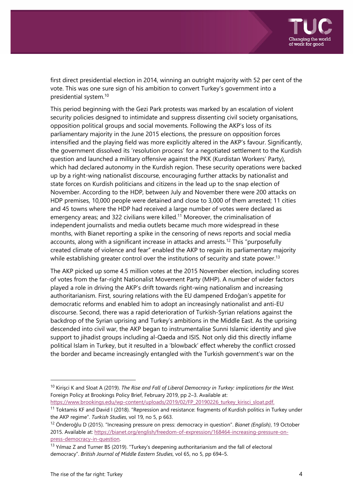

first direct presidential election in 2014, winning an outright majority with 52 per cent of the vote. This was one sure sign of his ambition to convert Turkey's government into a presidential system.10

This period beginning with the Gezi Park protests was marked by an escalation of violent security policies designed to intimidate and suppress dissenting civil society organisations, opposition political groups and social movements. Following the AKP's loss of its parliamentary majority in the June 2015 elections, the pressure on opposition forces intensified and the playing field was more explicitly altered in the AKP's favour. Significantly, the government dissolved its 'resolution process' for a negotiated settlement to the Kurdish question and launched a military offensive against the PKK (Kurdistan Workers' Party), which had declared autonomy in the Kurdish region. These security operations were backed up by a right-wing nationalist discourse, encouraging further attacks by nationalist and state forces on Kurdish politicians and citizens in the lead up to the snap election of November. According to the HDP, between July and November there were 200 attacks on HDP premises, 10,000 people were detained and close to 3,000 of them arrested; 11 cities and 45 towns where the HDP had received a large number of votes were declared as emergency areas; and 322 civilians were killed.<sup>11</sup> Moreover, the criminalisation of independent journalists and media outlets became much more widespread in these months, with Bianet reporting a spike in the censoring of news reports and social media accounts, along with a significant increase in attacks and arrests.12 This "purposefully created climate of violence and fear" enabled the AKP to regain its parliamentary majority while establishing greater control over the institutions of security and state power.<sup>13</sup>

The AKP picked up some 4.5 million votes at the 2015 November election, including scores of votes from the far-right Nationalist Movement Party (MHP). A number of wider factors played a role in driving the AKP's drift towards right-wing nationalism and increasing authoritarianism. First, souring relations with the EU dampened Erdoğan's appetite for democratic reforms and enabled him to adopt an increasingly nationalist and anti-EU discourse. Second, there was a rapid deterioration of Turkish-Syrian relations against the backdrop of the Syrian uprising and Turkey's ambitions in the Middle East. As the uprising descended into civil war, the AKP began to instrumentalise Sunni Islamic identity and give support to jihadist groups including al-Qaeda and ISIS. Not only did this directly inflame political Islam in Turkey, but it resulted in a 'blowback' effect whereby the conflict crossed the border and became increasingly entangled with the Turkish government's war on the

https://www.brookings.edu/wp-content/uploads/2019/02/FP\_20190226\_turkey\_kirisci\_sloat.pdf.

<sup>10</sup> Kirişci K and Sloat A (2019). *The Rise and Fall of Liberal Democracy in Turkey: implications for the West.* Foreign Policy at Brookings Policy Brief, February 2019, pp 2–3. Available at:

<sup>&</sup>lt;sup>11</sup> Toktamis KF and David I (2018). "Repression and resistance: fragments of Kurdish politics in Turkey under the AKP regime". *Turkish Studies*, vol 19, no 5, p 663.

<sup>12</sup> Önderoğlu D (2015). "Increasing pressure on press: democracy in question". *Bianet (English)*, 19 October 2015. Available at: https://bianet.org/english/freedom-of-expression/168464-increasing-pressure-onpress-democracy-in-question.

<sup>&</sup>lt;sup>13</sup> Yılmaz Z and Turner BS (2019). "Turkey's deepening authoritarianism and the fall of electoral democracy". *British Journal of Middle Eastern Studies*, vol 65, no 5, pp 694–5.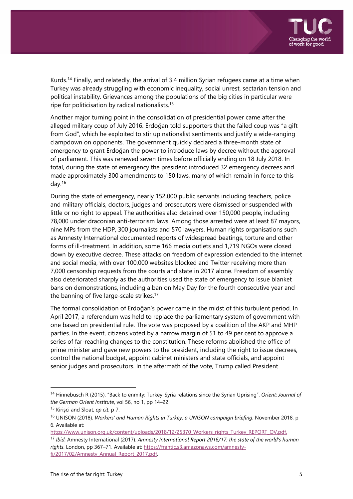

Kurds.<sup>14</sup> Finally, and relatedly, the arrival of 3.4 million Syrian refugees came at a time when Turkey was already struggling with economic inequality, social unrest, sectarian tension and political instability. Grievances among the populations of the big cities in particular were ripe for politicisation by radical nationalists.15

Another major turning point in the consolidation of presidential power came after the alleged military coup of July 2016. Erdoğan told supporters that the failed coup was "a gift from God", which he exploited to stir up nationalist sentiments and justify a wide-ranging clampdown on opponents. The government quickly declared a three-month state of emergency to grant Erdoğan the power to introduce laws by decree without the approval of parliament. This was renewed seven times before officially ending on 18 July 2018. In total, during the state of emergency the president introduced 32 emergency decrees and made approximately 300 amendments to 150 laws, many of which remain in force to this day.16

During the state of emergency, nearly 152,000 public servants including teachers, police and military officials, doctors, judges and prosecutors were dismissed or suspended with little or no right to appeal. The authorities also detained over 150,000 people, including 78,000 under draconian anti-terrorism laws. Among those arrested were at least 87 mayors, nine MPs from the HDP, 300 journalists and 570 lawyers. Human rights organisations such as Amnesty International documented reports of widespread beatings, torture and other forms of ill-treatment. In addition, some 166 media outlets and 1,719 NGOs were closed down by executive decree. These attacks on freedom of expression extended to the internet and social media, with over 100,000 websites blocked and Twitter receiving more than 7,000 censorship requests from the courts and state in 2017 alone. Freedom of assembly also deteriorated sharply as the authorities used the state of emergency to issue blanket bans on demonstrations, including a ban on May Day for the fourth consecutive year and the banning of five large-scale strikes.<sup>17</sup>

The formal consolidation of Erdoğan's power came in the midst of this turbulent period. In April 2017, a referendum was held to replace the parliamentary system of government with one based on presidential rule. The vote was proposed by a coalition of the AKP and MHP parties. In the event, citizens voted by a narrow margin of 51 to 49 per cent to approve a series of far-reaching changes to the constitution. These reforms abolished the office of prime minister and gave new powers to the president, including the right to issue decrees, control the national budget, appoint cabinet ministers and state officials, and appoint senior judges and prosecutors. In the aftermath of the vote, Trump called President

<sup>14</sup> Hinnebusch R (2015). "Back to enmity: Turkey-Syria relations since the Syrian Uprising". *Orient: Journal of the German Orient Institute*, vol 56, no 1, pp 14–22.

<sup>15</sup> Kirişci and Sloat, *op cit*, p 7.

<sup>16</sup> UNISON (2018). *Workers' and Human Rights in Turkey: a UNISON campaign briefing*. November 2018, p 6. Available at:

https://www.unison.org.uk/content/uploads/2018/12/25370 Workers\_rights\_Turkey\_REPORT\_OV.pdf.

<sup>17</sup> *Ibid*; Amnesty International (2017). *Amnesty International Report 2016/17: the state of the world's human rights*. London, pp 367–71. Available at: https://frantic.s3.amazonaws.com/amnestyfi/2017/02/Amnesty\_Annual\_Report\_2017.pdf.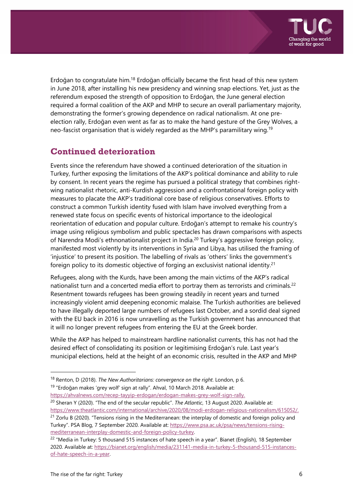

Erdoğan to congratulate him.18 Erdoğan officially became the first head of this new system in June 2018, after installing his new presidency and winning snap elections. Yet, just as the referendum exposed the strength of opposition to Erdoğan, the June general election required a formal coalition of the AKP and MHP to secure an overall parliamentary majority, demonstrating the former's growing dependence on radical nationalism. At one preelection rally, Erdoğan even went as far as to make the hand gesture of the Grey Wolves, a neo-fascist organisation that is widely regarded as the MHP's paramilitary wing.19

## **Continued deterioration**

Events since the referendum have showed a continued deterioration of the situation in Turkey, further exposing the limitations of the AKP's political dominance and ability to rule by consent. In recent years the regime has pursued a political strategy that combines rightwing nationalist rhetoric, anti-Kurdish aggression and a confrontational foreign policy with measures to placate the AKP's traditional core base of religious conservatives. Efforts to construct a common Turkish identity fused with Islam have involved everything from a renewed state focus on specific events of historical importance to the ideological reorientation of education and popular culture. Erdoğan's attempt to remake his country's image using religious symbolism and public spectacles has drawn comparisons with aspects of Narendra Modi's ethnonationalist project in India.20 Turkey's aggressive foreign policy, manifested most violently by its interventions in Syria and Libya, has utilised the framing of 'injustice' to present its position. The labelling of rivals as 'others' links the government's foreign policy to its domestic objective of forging an exclusivist national identity.<sup>21</sup>

Refugees, along with the Kurds, have been among the main victims of the AKP's radical nationalist turn and a concerted media effort to portray them as terrorists and criminals.<sup>22</sup> Resentment towards refugees has been growing steadily in recent years and turned increasingly violent amid deepening economic malaise. The Turkish authorities are believed to have illegally deported large numbers of refugees last October, and a sordid deal signed with the EU back in 2016 is now unravelling as the Turkish government has announced that it will no longer prevent refugees from entering the EU at the Greek border.

While the AKP has helped to mainstream hardline nationalist currents, this has not had the desired effect of consolidating its position or legitimising Erdoğan's rule. Last year's municipal elections, held at the height of an economic crisis, resulted in the AKP and MHP

- <sup>19</sup> "Erdoğan makes 'grey wolf' sign at rally". Ahval, 10 March 2018. Available at:
- https://ahvalnews.com/recep-tayyip-erdogan/erdogan-makes-grey-wolf-sign-rally.
- 20 Sheran Y (2020). "The end of the secular republic". *The Atlantic*, 13 August 2020. Available at: https://www.theatlantic.com/international/archive/2020/08/modi-erdogan-religious-nationalism/615052/.  $21$  Zorlu B (2020). "Tensions rising in the Mediterranean: the interplay of domestic and foreign policy and Turkey". PSA Blog, 7 September 2020. Available at: https://www.psa.ac.uk/psa/news/tensions-risingmediterranean-interplay-domestic-and-foreign-policy-turkey.

<sup>18</sup> Renton, D (2018). *The New Authoritarians: convergence on the right*. London, p 6.

 $22$  "Media in Turkey: 5 thousand 515 instances of hate speech in a year". Bianet (English), 18 September 2020. Available at: https://bianet.org/english/media/231141-media-in-turkey-5-thousand-515-instancesof-hate-speech-in-a-year.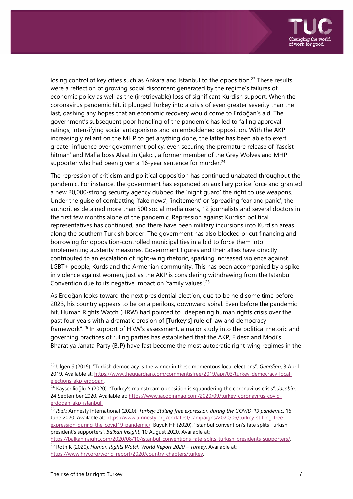

losing control of key cities such as Ankara and Istanbul to the opposition.<sup>23</sup> These results were a reflection of growing social discontent generated by the regime's failures of economic policy as well as the (irretrievable) loss of significant Kurdish support. When the coronavirus pandemic hit, it plunged Turkey into a crisis of even greater severity than the last, dashing any hopes that an economic recovery would come to Erdoğan's aid. The government's subsequent poor handling of the pandemic has led to falling approval ratings, intensifying social antagonisms and an emboldened opposition. With the AKP increasingly reliant on the MHP to get anything done, the latter has been able to exert greater influence over government policy, even securing the premature release of 'fascist hitman' and Mafia boss Alaattin Çakıcı, a former member of the Grey Wolves and MHP supporter who had been given a 16-year sentence for murder.<sup>24</sup>

The repression of criticism and political opposition has continued unabated throughout the pandemic. For instance, the government has expanded an auxiliary police force and granted a new 20,000-strong security agency dubbed the 'night guard' the right to use weapons. Under the guise of combatting 'fake news', 'incitement' or 'spreading fear and panic', the authorities detained more than 500 social media users, 12 journalists and several doctors in the first few months alone of the pandemic. Repression against Kurdish political representatives has continued, and there have been military incursions into Kurdish areas along the southern Turkish border. The government has also blocked or cut financing and borrowing for opposition-controlled municipalities in a bid to force them into implementing austerity measures. Government figures and their allies have directly contributed to an escalation of right-wing rhetoric, sparking increased violence against LGBT+ people, Kurds and the Armenian community. This has been accompanied by a spike in violence against women, just as the AKP is considering withdrawing from the Istanbul Convention due to its negative impact on 'family values'.25

As Erdoğan looks toward the next presidential election, due to be held some time before 2023, his country appears to be on a perilous, downward spiral. Even before the pandemic hit, Human Rights Watch (HRW) had pointed to "deepening human rights crisis over the past four years with a dramatic erosion of [Turkey's] rule of law and democracy framework".26 In support of HRW's assessment, a major study into the political rhetoric and governing practices of ruling parties has established that the AKP, Fidesz and Modi's Bharatiya Janata Party (BJP) have fast become the most autocratic right-wing regimes in the

https://balkaninsight.com/2020/08/10/istanbul-conventions-fate-splits-turkish-presidents-supporters/. 26 Roth K (2020). *Human Rights Watch World Report 2020 – Turkey*. Available at: https://www.hrw.org/world-report/2020/country-chapters/turkey.

<sup>23</sup> Ülgen S (2019). "Turkish democracy is the winner in these momentous local elections". *Guardian*, 3 April 2019. Available at: https://www.theguardian.com/commentisfree/2019/apr/03/turkey-democracy-localelections-akp-erdogan.

<sup>24</sup> Kayserilioğlu A (2020). "Turkey's mainstream opposition is squandering the coronavirus crisis". *Jacobin*, 24 September 2020. Available at: https://www.jacobinmag.com/2020/09/turkey-coronavirus-coviderdogan-akp-istanbul.

<sup>25</sup> *Ibid*.; Amnesty International (2020). *Turkey: Stifling free expression during the COVID-19 pandemic*. 16 June 2020. Available at: https://www.amnesty.org/en/latest/campaigns/2020/06/turkey-stifling-freeexpression-during-the-covid19-pandemic/; Buyuk HF (2020). 'Istanbul convention's fate splits Turkish president's supporters', *Balkan Insight*, 10 August 2020. Available at: